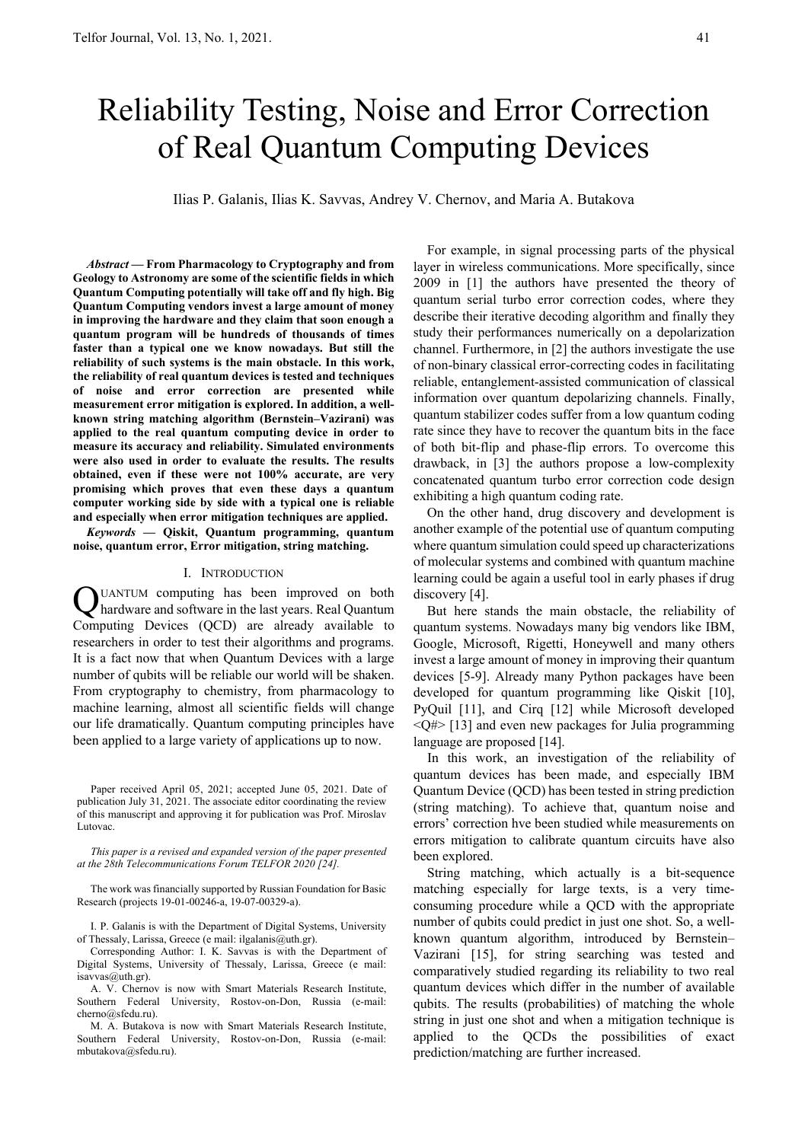# Reliability Testing, Noise and Error Correction of Real Quantum Computing Devices

Ilias P. Galanis, Ilias K. Savvas, Andrey V. Chernov, and Maria A. Butakova

*Abstract* **— From Pharmacology to Cryptography and from Geology to Astronomy are some of the scientific fields in which Quantum Computing potentially will take off and fly high. Big Quantum Computing vendors invest a large amount of money in improving the hardware and they claim that soon enough a quantum program will be hundreds of thousands of times faster than a typical one we know nowadays. But still the reliability of such systems is the main obstacle. In this work, the reliability of real quantum devices is tested and techniques of noise and error correction are presented while measurement error mitigation is explored. In addition, a wellknown string matching algorithm (Bernstein–Vazirani) was applied to the real quantum computing device in order to measure its accuracy and reliability. Simulated environments were also used in order to evaluate the results. The results obtained, even if these were not 100% accurate, are very promising which proves that even these days a quantum computer working side by side with a typical one is reliable and especially when error mitigation techniques are applied.** 

*Keywords* **— Qiskit, Quantum programming, quantum noise, quantum error, Error mitigation, string matching.** 

#### I. INTRODUCTION

UANTUM computing has been improved on both hardware and software in the last years. Real Quantum Q Computing Devices (QCD) are already available to researchers in order to test their algorithms and programs. It is a fact now that when Quantum Devices with a large number of qubits will be reliable our world will be shaken. From cryptography to chemistry, from pharmacology to machine learning, almost all scientific fields will change our life dramatically. Quantum computing principles have been applied to a large variety of applications up to now.

Paper received April 05, 2021; accepted June 05, 2021. Date of publication July 31, 2021. The associate editor coordinating the review of this manuscript and approving it for publication was Prof. Miroslav Lutovac.

*This paper is a revised and expanded version of the paper presented at the 28th Telecommunications Forum TELFOR 2020 [24].* 

The work was financially supported by Russian Foundation for Basic Research (projects 19-01-00246-a, 19-07-00329-a).

I. P. Galanis is with the Department of Digital Systems, University of Thessaly, Larissa, Greece (e mail: ilgalanis@uth.gr).

Corresponding Author: I. K. Savvas is with the Department of Digital Systems, University of Thessaly, Larissa, Greece (e mail: isavvas@uth.gr).

A. V. Chernov is now with Smart Materials Research Institute, Southern Federal University, Rostov-on-Don, Russia (e-mail: cherno@sfedu.ru).

M. A. Butakova is now with Smart Materials Research Institute, Southern Federal University, Rostov-on-Don, Russia (e-mail: mbutakova@sfedu.ru).

For example, in signal processing parts of the physical layer in wireless communications. More specifically, since 2009 in [1] the authors have presented the theory of quantum serial turbo error correction codes, where they describe their iterative decoding algorithm and finally they study their performances numerically on a depolarization channel. Furthermore, in [2] the authors investigate the use of non-binary classical error-correcting codes in facilitating reliable, entanglement-assisted communication of classical information over quantum depolarizing channels. Finally, quantum stabilizer codes suffer from a low quantum coding rate since they have to recover the quantum bits in the face of both bit-flip and phase-flip errors. To overcome this drawback, in [3] the authors propose a low-complexity concatenated quantum turbo error correction code design exhibiting a high quantum coding rate.

On the other hand, drug discovery and development is another example of the potential use of quantum computing where quantum simulation could speed up characterizations of molecular systems and combined with quantum machine learning could be again a useful tool in early phases if drug discovery [4].

But here stands the main obstacle, the reliability of quantum systems. Nowadays many big vendors like IBM, Google, Microsoft, Rigetti, Honeywell and many others invest a large amount of money in improving their quantum devices [5-9]. Already many Python packages have been developed for quantum programming like Qiskit [10], PyQuil [11], and Cirq [12] while Microsoft developed  $\langle Q \rangle$  [13] and even new packages for Julia programming language are proposed [14].

 In this work, an investigation of the reliability of quantum devices has been made, and especially IBM Quantum Device (QCD) has been tested in string prediction (string matching). To achieve that, quantum noise and errors' correction hve been studied while measurements on errors mitigation to calibrate quantum circuits have also been explored.

String matching, which actually is a bit-sequence matching especially for large texts, is a very timeconsuming procedure while a QCD with the appropriate number of qubits could predict in just one shot. So, a wellknown quantum algorithm, introduced by Bernstein– Vazirani [15], for string searching was tested and comparatively studied regarding its reliability to two real quantum devices which differ in the number of available qubits. The results (probabilities) of matching the whole string in just one shot and when a mitigation technique is applied to the QCDs the possibilities of exact prediction/matching are further increased.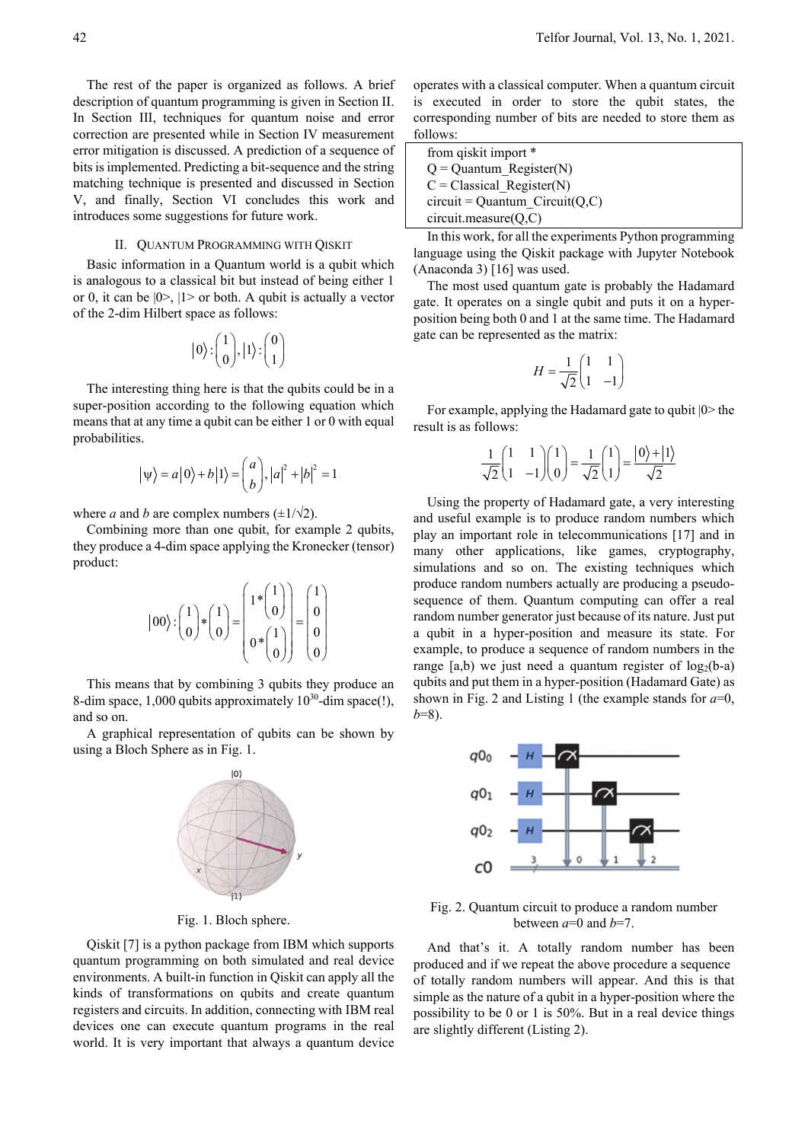The rest of the paper is organized as follows. A brief description of quantum programming is given in Section II. In Section III, techniques for quantum noise and error correction are presented while in Section IV measurement error mitigation is discussed. A prediction of a sequence of bits is implemented. Predicting a bit-sequence and the string matching technique is presented and discussed in Section V, and finally, Section VI concludes this work and introduces some suggestions for future work.

### II. QUANTUM PROGRAMMING WITH QISKIT

Basic information in a Quantum world is a qubit which is analogous to a classical bit but instead of being either 1 or 0, it can be  $|0\rangle$ ,  $|1\rangle$  or both. A qubit is actually a vector of the 2-dim Hilbert space as follows:

$$
|0\rangle:\left(\begin{matrix}1\\0\end{matrix}\right), |1\rangle:\left(\begin{matrix}0\\1\end{matrix}\right)
$$

The interesting thing here is that the qubits could be in a super-position according to the following equation which means that at any time a qubit can be either 1 or 0 with equal probabilities.

$$
|\psi\rangle = a|0\rangle + b|1\rangle = \begin{pmatrix} a \\ b \end{pmatrix}, |a|^2 + |b|^2 = 1
$$

where *a* and *b* are complex numbers  $(\pm 1/\sqrt{2})$ .

Combining more than one qubit, for example 2 qubits, they produce a 4-dim space applying the Kronecker (tensor) product:

$$
|00\rangle: \begin{pmatrix} 1 \\ 0 \end{pmatrix} * \begin{pmatrix} 1 \\ 0 \end{pmatrix} = \begin{pmatrix} 1 * \begin{pmatrix} 1 \\ 0 \end{pmatrix} \\ 0 * \begin{pmatrix} 1 \\ 0 \end{pmatrix} \end{pmatrix} = \begin{pmatrix} 1 \\ 0 \\ 0 \end{pmatrix}
$$

This means that by combining 3 qubits they produce an 8-dim space, 1,000 qubits approximately  $10^{30}$ -dim space(!), and so on.

A graphical representation of qubits can be shown by using a Bloch Sphere as in Fig. 1.



Fig. 1. Bloch sphere.

Qiskit [7] is a python package from IBM which supports quantum programming on both simulated and real device environments. A built-in function in Qiskit can apply all the kinds of transformations on qubits and create quantum registers and circuits. In addition, connecting with IBM real devices one can execute quantum programs in the real world. It is very important that always a quantum device operates with a classical computer. When a quantum circuit is executed in order to store the qubit states, the corresponding number of bits are needed to store them as follows:

| from qiskit import *              |
|-----------------------------------|
| $Q =$ Quantum Register(N)         |
| $C = Classical Register(N)$       |
| $circuit = Quantum Circuit(Q, C)$ |
| $circuit-measure(Q, C)$           |

In this work, for all the experiments Python programming language using the Qiskit package with Jupyter Notebook (Anaconda 3) [16] was used.

The most used quantum gate is probably the Hadamard gate. It operates on a single qubit and puts it on a hyperposition being both 0 and 1 at the same time. The Hadamard gate can be represented as the matrix:

$$
H = \frac{1}{\sqrt{2}} \begin{pmatrix} 1 & 1 \\ 1 & -1 \end{pmatrix}
$$

For example, applying the Hadamard gate to qubit |0> the result is as follows:

$$
\frac{1}{\sqrt{2}}\begin{pmatrix} 1 & 1 \ 1 & -1 \end{pmatrix}\begin{pmatrix} 1 \ 0 \end{pmatrix} = \frac{1}{\sqrt{2}}\begin{pmatrix} 1 \ 1 \end{pmatrix} = \frac{|0\rangle + |1\rangle}{\sqrt{2}}
$$

Using the property of Hadamard gate, a very interesting and useful example is to produce random numbers which play an important role in telecommunications [17] and in many other applications, like games, cryptography, simulations and so on. The existing techniques which produce random numbers actually are producing a pseudosequence of them. Quantum computing can offer a real random number generator just because of its nature. Just put a qubit in a hyper-position and measure its state. For example, to produce a sequence of random numbers in the range  $[a,b)$  we just need a quantum register of  $log_2(b-a)$ qubits and put them in a hyper-position (Hadamard Gate) as shown in Fig. 2 and Listing 1 (the example stands for  $a=0$ , *b*=8).



Fig. 2. Quantum circuit to produce a random number between  $a=0$  and  $b=7$ .

And that's it. A totally random number has been produced and if we repeat the above procedure a sequence of totally random numbers will appear. And this is that simple as the nature of a qubit in a hyper-position where the possibility to be 0 or 1 is 50%. But in a real device things are slightly different (Listing 2).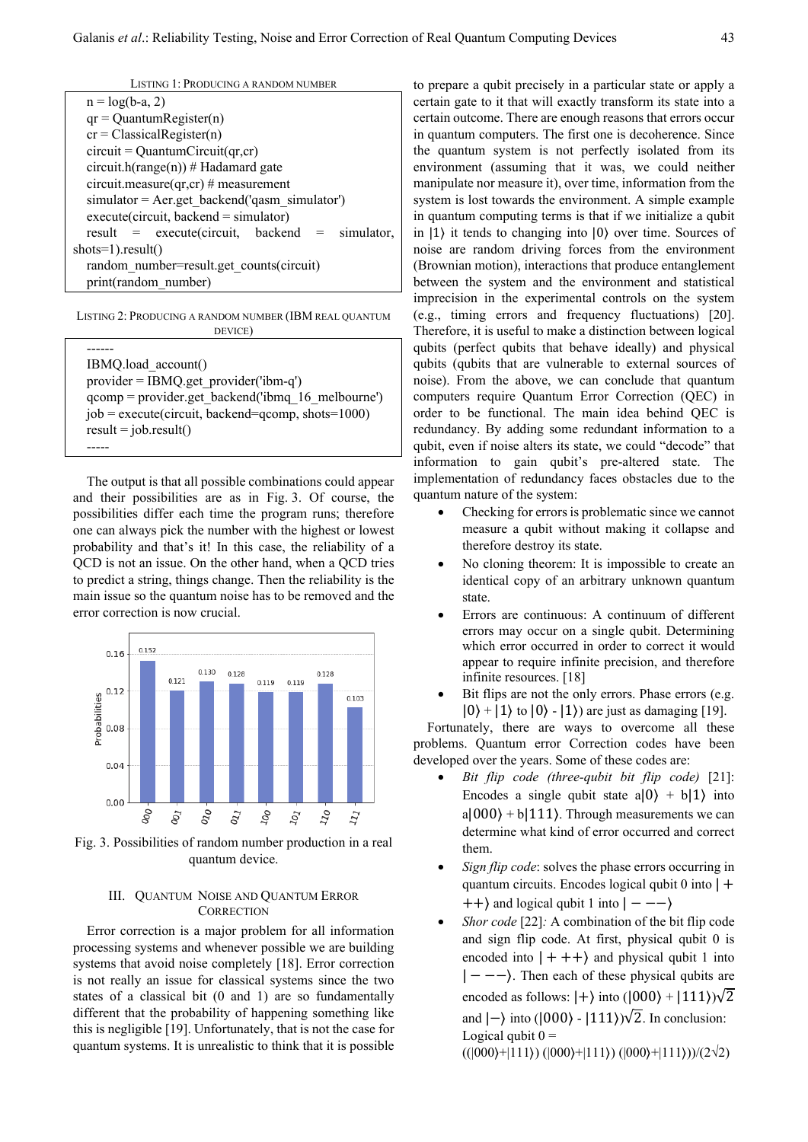| $n = log(b-a, 2)$                                |  |  |
|--------------------------------------------------|--|--|
| $qr = Quantum Register(n)$                       |  |  |
| $cr = Classical Register(n)$                     |  |  |
| $circuit = QuantumCircuit(qr,cr)$                |  |  |
| circuit.h(range(n)) # Hadamard gate              |  |  |
| circuit.measure(qr,cr) # measurement             |  |  |
| $simulator = Aer.get backend('qasm simulator)$   |  |  |
| $execute(circuit, backward = simulator)$         |  |  |
| $result = execute(circuit, backend = simulator,$ |  |  |
| $shots=1).result()$                              |  |  |
| random number=result.get counts(circuit)         |  |  |
| print(random number)                             |  |  |

LISTING 2: PRODUCING A RANDOM NUMBER (IBM REAL QUANTUM DEVICE)

| IBMQ.load account()                                  |
|------------------------------------------------------|
| $provider = IBMQ.get provider('ibm-q')$              |
| $qcomp = provider.get backward('ibmq 16 melbourne')$ |
| $job = execute(circuit, backward=qcomp, shots=1000)$ |
| $result = job.result()$                              |
|                                                      |

The output is that all possible combinations could appear and their possibilities are as in Fig. 3. Of course, the possibilities differ each time the program runs; therefore one can always pick the number with the highest or lowest probability and that's it! In this case, the reliability of a QCD is not an issue. On the other hand, when a QCD tries to predict a string, things change. Then the reliability is the main issue so the quantum noise has to be removed and the error correction is now crucial.



Fig. 3. Possibilities of random number production in a real quantum device.

## III. QUANTUM NOISE AND QUANTUM ERROR **CORRECTION**

Error correction is a major problem for all information processing systems and whenever possible we are building systems that avoid noise completely [18]. Error correction is not really an issue for classical systems since the two states of a classical bit (0 and 1) are so fundamentally different that the probability of happening something like this is negligible [19]. Unfortunately, that is not the case for quantum systems. It is unrealistic to think that it is possible to prepare a qubit precisely in a particular state or apply a certain gate to it that will exactly transform its state into a certain outcome. There are enough reasons that errors occur in quantum computers. The first one is decoherence. Since the quantum system is not perfectly isolated from its environment (assuming that it was, we could neither manipulate nor measure it), over time, information from the system is lost towards the environment. A simple example in quantum computing terms is that if we initialize a qubit in |1⟩ it tends to changing into |0⟩ over time. Sources of noise are random driving forces from the environment (Brownian motion), interactions that produce entanglement between the system and the environment and statistical imprecision in the experimental controls on the system (e.g., timing errors and frequency fluctuations) [20]. Therefore, it is useful to make a distinction between logical qubits (perfect qubits that behave ideally) and physical qubits (qubits that are vulnerable to external sources of noise). From the above, we can conclude that quantum computers require Quantum Error Correction (QEC) in order to be functional. The main idea behind QEC is redundancy. By adding some redundant information to a qubit, even if noise alters its state, we could "decode" that information to gain qubit's pre-altered state. The implementation of redundancy faces obstacles due to the quantum nature of the system:

- Checking for errors is problematic since we cannot measure a qubit without making it collapse and therefore destroy its state.
- No cloning theorem: It is impossible to create an identical copy of an arbitrary unknown quantum state.
- Errors are continuous: A continuum of different errors may occur on a single qubit. Determining which error occurred in order to correct it would appear to require infinite precision, and therefore infinite resources. [18]
- Bit flips are not the only errors. Phase errors (e.g.  $|0\rangle + |1\rangle$  to  $|0\rangle - |1\rangle$  are just as damaging [19].

Fortunately, there are ways to overcome all these problems. Quantum error Correction codes have been developed over the years. Some of these codes are:

- *Bit flip code (three-qubit bit flip code)* [21]: Encodes a single qubit state  $a|0\rangle + b|1\rangle$  into  $a|000\rangle + b|111\rangle$ . Through measurements we can determine what kind of error occurred and correct them.
- *Sign flip code*: solves the phase errors occurring in quantum circuits. Encodes logical qubit  $0$  into  $| +$  $\vert +\vert$  and logical qubit 1 into  $\vert --\vert$
- *Shor code* [22]*:* A combination of the bit flip code and sign flip code. At first, physical qubit 0 is encoded into  $| + + + \rangle$  and physical qubit 1 into  $|---\rangle$ . Then each of these physical qubits are encoded as follows:  $|+\rangle$  into  $(|000\rangle + |111\rangle)\sqrt{2}$ and  $|-\rangle$  into ( $|000\rangle - |111\rangle$ ) $\sqrt{2}$ . In conclusion: Logical qubit  $0 =$

 $((|000\rangle + |111\rangle) (|000\rangle + |111\rangle) (|000\rangle + |111\rangle)) / (2\sqrt{2})$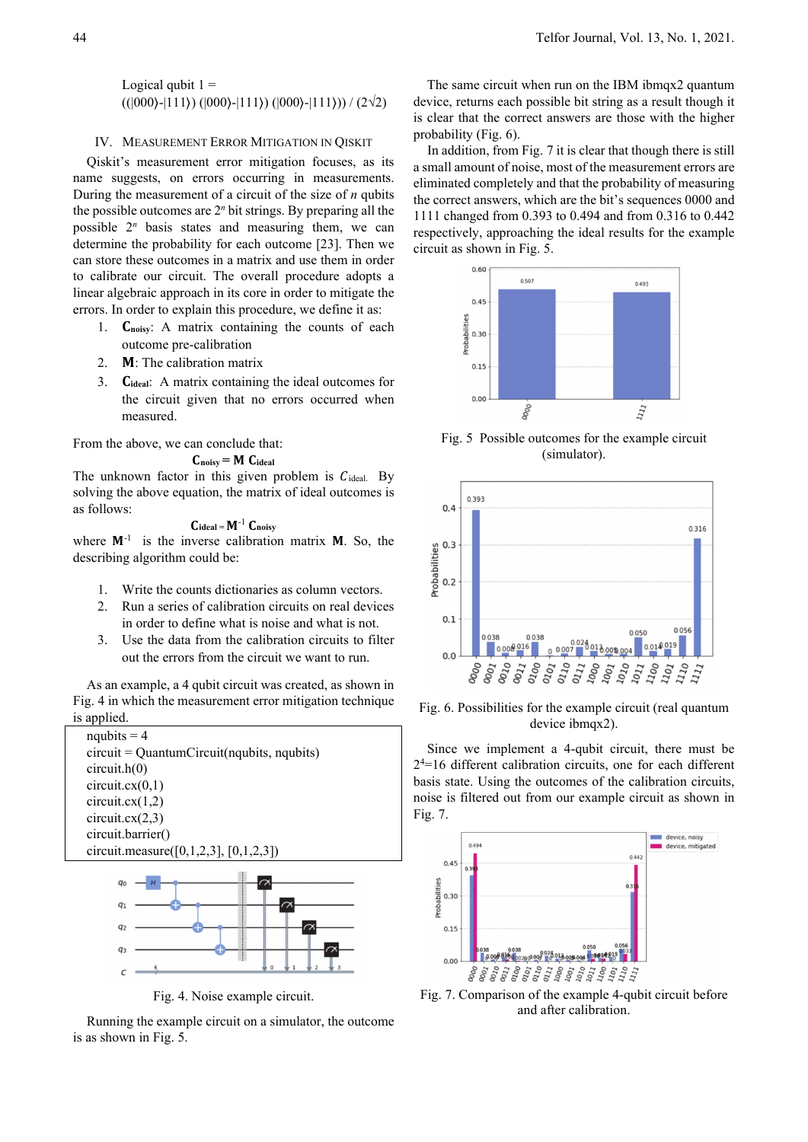Logical qubit  $1 =$  $((|000\rangle - |111\rangle) (|000\rangle - |111\rangle) (|000\rangle - |111\rangle)) / (2\sqrt{2})$ 

## IV. MEASUREMENT ERROR MITIGATION IN QISKIT

Qiskit's measurement error mitigation focuses, as its name suggests, on errors occurring in measurements. During the measurement of a circuit of the size of *n* qubits the possible outcomes are  $2<sup>n</sup>$  bit strings. By preparing all the possible  $2^n$  basis states and measuring them, we can determine the probability for each outcome [23]. Then we can store these outcomes in a matrix and use them in order to calibrate our circuit. The overall procedure adopts a linear algebraic approach in its core in order to mitigate the errors. In order to explain this procedure, we define it as:

- 1. **C**<sub>noisy</sub>: A matrix containing the counts of each outcome pre-calibration
- 2.  $M$ : The calibration matrix
- 3. **C**<sub>ideal</sub>: A matrix containing the ideal outcomes for the circuit given that no errors occurred when measured.

From the above, we can conclude that:

$$
C_{noisy} = M \ C_{ideal}
$$

The unknown factor in this given problem is  $C_{ideal}$ . By solving the above equation, the matrix of ideal outcomes is as follows:

$$
C_{ideal} = M^{-1} \ C_{noisy}
$$

where  $M^{-1}$  is the inverse calibration matrix  $M$ . So, the describing algorithm could be:

- 1. Write the counts dictionaries as column vectors.
- 2. Run a series of calibration circuits on real devices in order to define what is noise and what is not.
- 3. Use the data from the calibration circuits to filter out the errors from the circuit we want to run.

As an example, a 4 qubit circuit was created, as shown in Fig. 4 in which the measurement error mitigation technique is applied.





Fig. 4. Noise example circuit.

Running the example circuit on a simulator, the outcome is as shown in Fig. 5.

The same circuit when run on the IBM ibmqx2 quantum device, returns each possible bit string as a result though it is clear that the correct answers are those with the higher probability (Fig. 6).

 In addition, from Fig. 7 it is clear that though there is still a small amount of noise, most of the measurement errors are eliminated completely and that the probability of measuring the correct answers, which are the bit's sequences 0000 and 1111 changed from 0.393 to 0.494 and from 0.316 to 0.442 respectively, approaching the ideal results for the example circuit as shown in Fig. 5.



Fig. 5 Possible outcomes for the example circuit (simulator).



Fig. 6. Possibilities for the example circuit (real quantum device ibmqx2).

Since we implement a 4-qubit circuit, there must be 24 =16 different calibration circuits, one for each different basis state. Using the outcomes of the calibration circuits, noise is filtered out from our example circuit as shown in Fig. 7.



Fig. 7. Comparison of the example 4-qubit circuit before and after calibration.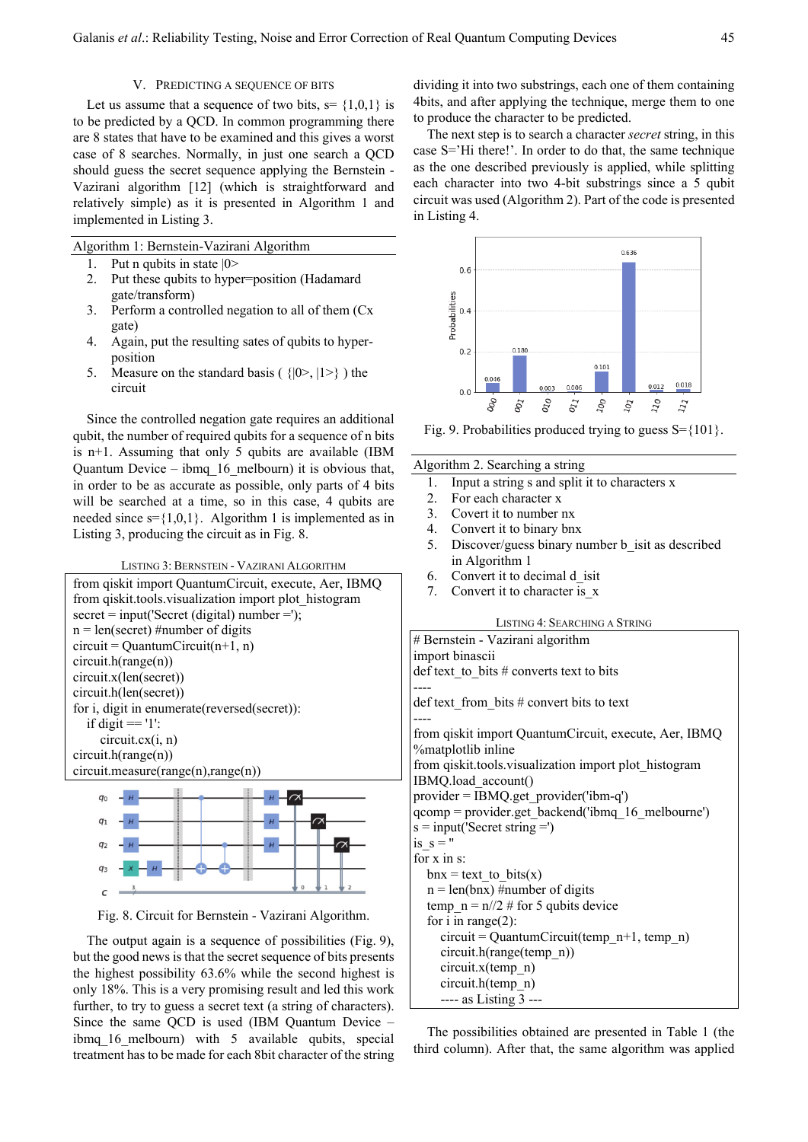#### V. PREDICTING A SEQUENCE OF BITS

Let us assume that a sequence of two bits,  $s = \{1,0,1\}$  is to be predicted by a QCD. In common programming there are 8 states that have to be examined and this gives a worst case of 8 searches. Normally, in just one search a QCD should guess the secret sequence applying the Bernstein - Vazirani algorithm [12] (which is straightforward and relatively simple) as it is presented in Algorithm 1 and implemented in Listing 3.

Algorithm 1: Bernstein-Vazirani Algorithm

- 1. Put n qubits in state |0>
- 2. Put these qubits to hyper=position (Hadamard gate/transform)
- 3. Perform a controlled negation to all of them (Cx gate)
- 4. Again, put the resulting sates of qubits to hyperposition
- 5. Measure on the standard basis ( $\{|0\rangle, |1\rangle\}$ ) the circuit

Since the controlled negation gate requires an additional qubit, the number of required qubits for a sequence of n bits is  $n+1$ . Assuming that only 5 qubits are available (IBM Quantum Device – ibmq\_16\_melbourn) it is obvious that, in order to be as accurate as possible, only parts of 4 bits will be searched at a time, so in this case, 4 qubits are needed since  $s = \{1,0,1\}$ . Algorithm 1 is implemented as in Listing 3, producing the circuit as in Fig. 8.

LISTING 3: BERNSTEIN - VAZIRANI ALGORITHM





Fig. 8. Circuit for Bernstein - Vazirani Algorithm.

The output again is a sequence of possibilities (Fig. 9), but the good news is that the secret sequence of bits presents the highest possibility 63.6% while the second highest is only 18%. This is a very promising result and led this work further, to try to guess a secret text (a string of characters). Since the same QCD is used (IBM Quantum Device – ibmq 16 melbourn) with 5 available qubits, special treatment has to be made for each 8bit character of the string dividing it into two substrings, each one of them containing 4bits, and after applying the technique, merge them to one to produce the character to be predicted.

The next step is to search a character *secret* string, in this case S='Hi there!'. In order to do that, the same technique as the one described previously is applied, while splitting each character into two 4-bit substrings since a 5 qubit circuit was used (Algorithm 2). Part of the code is presented in Listing 4.



Fig. 9. Probabilities produced trying to guess  $S = \{101\}$ .

#### Algorithm 2. Searching a string

- 1. Input a string s and split it to characters x
- 2. For each character x
- 3. Covert it to number nx
- 4. Convert it to binary bnx
- 5. Discover/guess binary number b\_isit as described in Algorithm 1
- 6. Convert it to decimal d\_isit
- 7. Convert it to character is\_x

#### LISTING 4: SEARCHING A STRING

| # Bernstein - Vazirani algorithm                                                   |
|------------------------------------------------------------------------------------|
| import binascii                                                                    |
| def text to bits $#$ converts text to bits                                         |
|                                                                                    |
| def text from bits $#$ convert bits to text                                        |
|                                                                                    |
| from qiskit import QuantumCircuit, execute, Aer, IBMQ<br><b>%matplotlib</b> inline |
| from qiskit.tools.visualization import plot_histogram                              |
| IBMQ.load account()                                                                |
| $provider = IBMQ.get provider('ibm-q')$                                            |
| $qcomp = provider.get backend('ibmq 16 melbourne')$                                |
| $s = input('Secret string =')$                                                     |
| is $s =$ "                                                                         |
| for $x$ in $s$ :                                                                   |
| $bnx = text to bits(x)$                                                            |
| $n = len(bnx)$ #number of digits                                                   |
| temp $n = n/2$ # for 5 qubits device                                               |
| for i in range $(2)$ :                                                             |
| $circuit = Quantum Circuit(temp_n+1, temp_n)$                                      |
| circuit.h(range(temp n))                                                           |
| circuit.x(temp n)                                                                  |
| circuit.h(temp n)                                                                  |
| ---- as Listing 3 ---                                                              |

The possibilities obtained are presented in Table 1 (the third column). After that, the same algorithm was applied